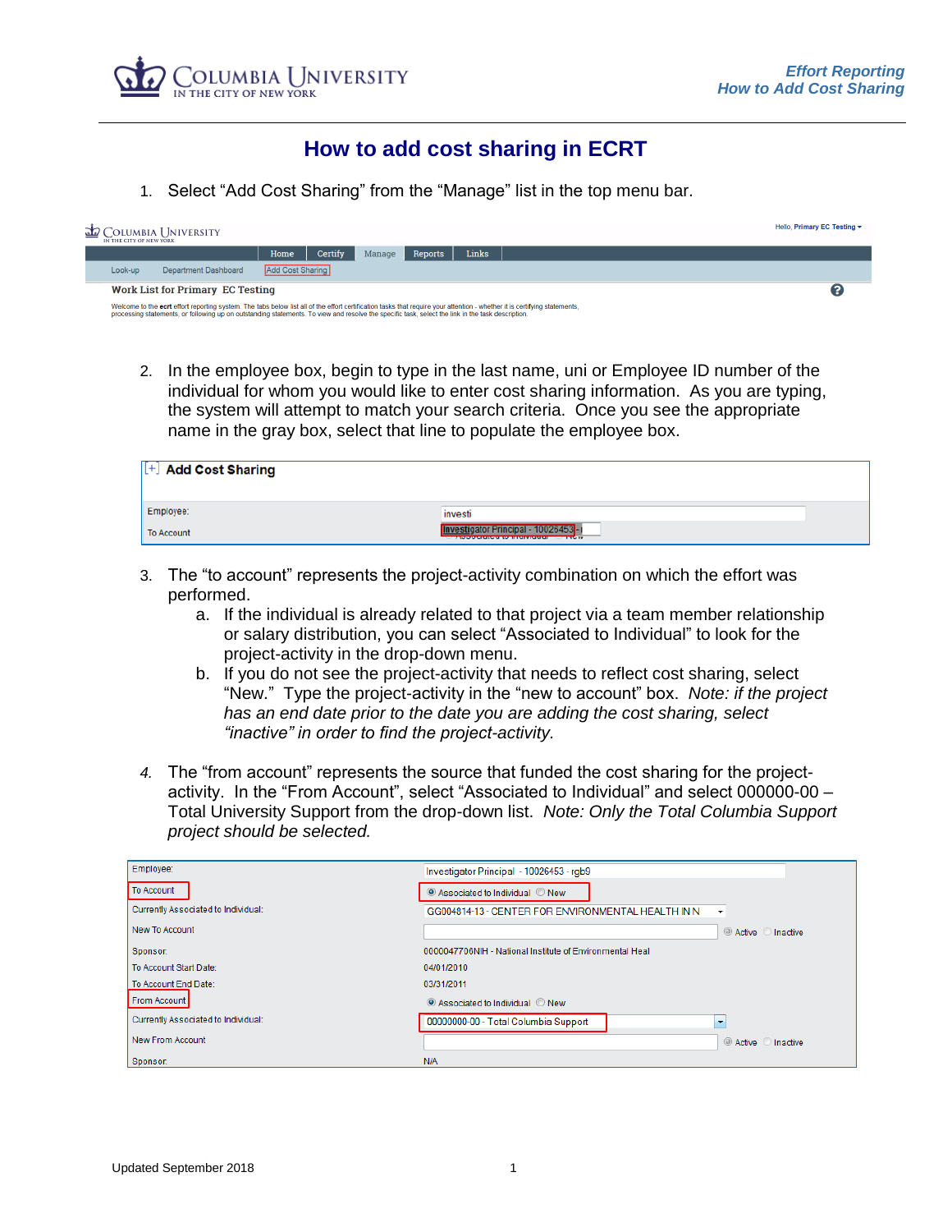

## **How to add cost sharing in ECRT**

1. Select "Add Cost Sharing" from the "Manage" list in the top menu bar.

| IN THE CITY OF NEW YORK                                                                                                                                                                                                                                                                                                        | <b>ED</b> COLUMBIA I INIVERSITY |                         |         |        |         |       |  |  | Hello, Primary EC Testing $\sim$ |
|--------------------------------------------------------------------------------------------------------------------------------------------------------------------------------------------------------------------------------------------------------------------------------------------------------------------------------|---------------------------------|-------------------------|---------|--------|---------|-------|--|--|----------------------------------|
|                                                                                                                                                                                                                                                                                                                                |                                 | Home                    | Certify | Manage | Reports | Links |  |  |                                  |
| Look-up                                                                                                                                                                                                                                                                                                                        | Department Dashboard            | <b>Add Cost Sharing</b> |         |        |         |       |  |  |                                  |
| <b>Work List for Primary EC Testing</b>                                                                                                                                                                                                                                                                                        |                                 |                         |         |        |         |       |  |  |                                  |
| Welcome to the ecrt effort reporting system. The tabs below list all of the effort certification tasks that require your attention - whether it is certifying statements,<br>processing statements, or following up on outstanding statements. To view and resolve the specific task, select the link in the task description. |                                 |                         |         |        |         |       |  |  |                                  |

2. In the employee box, begin to type in the last name, uni or Employee ID number of the individual for whom you would like to enter cost sharing information. As you are typing, the system will attempt to match your search criteria. Once you see the appropriate name in the gray box, select that line to populate the employee box.

| [+] Add Cost Sharing |                                                                                                                                                                   |
|----------------------|-------------------------------------------------------------------------------------------------------------------------------------------------------------------|
| Employee:            | investi                                                                                                                                                           |
| To Account           | stigator Principal - 10026453 <b>l</b> -<br><b>TAN PERMIT DI WAS DERESTED DE LA COMPANYATION DE L'ANNIE DE L'ANNIE DE L'ANNIE DE L'ANNIE DE L'ANNIE DE L'ANNI</b> |

- 3. The "to account" represents the project-activity combination on which the effort was performed.
	- a. If the individual is already related to that project via a team member relationship or salary distribution, you can select "Associated to Individual" to look for the project-activity in the drop-down menu.
	- b. If you do not see the project-activity that needs to reflect cost sharing, select "New." Type the project-activity in the "new to account" box. *Note: if the project has an end date prior to the date you are adding the cost sharing, select "inactive" in order to find the project-activity.*
- *4.* The "from account" represents the source that funded the cost sharing for the projectactivity. In the "From Account", select "Associated to Individual" and select 000000-00 – Total University Support from the drop-down list. *Note: Only the Total Columbia Support project should be selected.*

| Employee:                           | Investigator Principal - 10026453 - rgb9                 |                          |
|-------------------------------------|----------------------------------------------------------|--------------------------|
| To Account                          | ● Associated to Individual ● New                         |                          |
| Currently Associated to Individual: | GG004814-13 - CENTER FOR ENVIRONMENTAL HEALTH IN N       | $\overline{\phantom{a}}$ |
| New To Account                      |                                                          | Active Inactive          |
| Sponsor:                            | 0000047706NIH - National Institute of Environmental Heal |                          |
| To Account Start Date:              | 04/01/2010                                               |                          |
| To Account End Date:                | 03/31/2011                                               |                          |
| From Account                        | ● Associated to Individual ● New                         |                          |
| Currently Associated to Individual: | 00000000-00 - Total Columbia Support                     | $\overline{\phantom{a}}$ |
| New From Account                    |                                                          | Active Inactive          |
| Sponsor:                            | <b>N/A</b>                                               |                          |